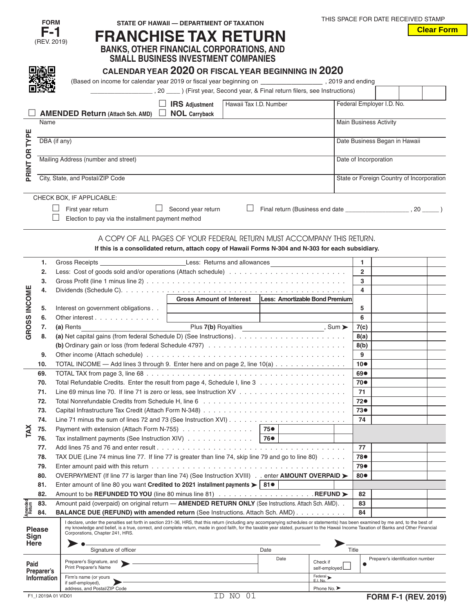|                   | <b>FORM</b>        |                                                                                                                                                                                                                                                                                                                                                                              | STATE OF HAWAII - DEPARTMENT OF TAXATION |                        |      |                                                           |                               | THIS SPACE FOR DATE RECEIVED STAMP        |
|-------------------|--------------------|------------------------------------------------------------------------------------------------------------------------------------------------------------------------------------------------------------------------------------------------------------------------------------------------------------------------------------------------------------------------------|------------------------------------------|------------------------|------|-----------------------------------------------------------|-------------------------------|-------------------------------------------|
|                   | F-1                |                                                                                                                                                                                                                                                                                                                                                                              |                                          |                        |      |                                                           |                               | <b>Clear Form</b>                         |
|                   | (REV. 2019)        | <b>FRANCHISE TAX RETURN</b>                                                                                                                                                                                                                                                                                                                                                  |                                          |                        |      |                                                           |                               |                                           |
|                   |                    | <b>BANKS, OTHER FINANCIAL CORPORATIONS, AND</b>                                                                                                                                                                                                                                                                                                                              |                                          |                        |      |                                                           |                               |                                           |
|                   |                    | <b>SMALL BUSINESS INVESTMENT COMPANIES</b>                                                                                                                                                                                                                                                                                                                                   |                                          |                        |      |                                                           |                               |                                           |
|                   |                    |                                                                                                                                                                                                                                                                                                                                                                              |                                          |                        |      |                                                           |                               |                                           |
|                   |                    | CALENDAR YEAR 2020 OR FISCAL YEAR BEGINNING IN 2020                                                                                                                                                                                                                                                                                                                          |                                          |                        |      |                                                           |                               |                                           |
|                   |                    |                                                                                                                                                                                                                                                                                                                                                                              |                                          |                        |      |                                                           |                               |                                           |
|                   |                    | (First year, Second year, & Final return filers, see Instructions) (Eirst year, Second year, & Final return filers, see Instructions)                                                                                                                                                                                                                                        |                                          |                        |      |                                                           |                               |                                           |
|                   |                    |                                                                                                                                                                                                                                                                                                                                                                              |                                          |                        |      |                                                           |                               |                                           |
|                   |                    |                                                                                                                                                                                                                                                                                                                                                                              | $\Box$ IRS Adjustment                    | Hawaii Tax I.D. Number |      |                                                           | Federal Employer I.D. No.     |                                           |
|                   |                    | <b>AMENDED Return (Attach Sch. AMD)</b>                                                                                                                                                                                                                                                                                                                                      | $\Box$ NOL Carryback                     |                        |      |                                                           |                               |                                           |
|                   | Name               |                                                                                                                                                                                                                                                                                                                                                                              |                                          |                        |      |                                                           | <b>Main Business Activity</b> |                                           |
|                   |                    |                                                                                                                                                                                                                                                                                                                                                                              |                                          |                        |      |                                                           |                               |                                           |
|                   | DBA (if any)       |                                                                                                                                                                                                                                                                                                                                                                              |                                          |                        |      |                                                           |                               | Date Business Began in Hawaii             |
| PRINT OR TYPE     |                    |                                                                                                                                                                                                                                                                                                                                                                              |                                          |                        |      |                                                           |                               |                                           |
|                   |                    | Mailing Address (number and street)                                                                                                                                                                                                                                                                                                                                          |                                          |                        |      |                                                           | Date of Incorporation         |                                           |
|                   |                    |                                                                                                                                                                                                                                                                                                                                                                              |                                          |                        |      |                                                           |                               |                                           |
|                   |                    | City, State, and Postal/ZIP Code                                                                                                                                                                                                                                                                                                                                             |                                          |                        |      |                                                           |                               | State or Foreign Country of Incorporation |
|                   |                    |                                                                                                                                                                                                                                                                                                                                                                              |                                          |                        |      |                                                           |                               |                                           |
|                   |                    | CHECK BOX, IF APPLICABLE:                                                                                                                                                                                                                                                                                                                                                    |                                          |                        |      |                                                           |                               |                                           |
|                   |                    |                                                                                                                                                                                                                                                                                                                                                                              |                                          |                        |      |                                                           |                               |                                           |
|                   |                    | First year return<br>$\Box$                                                                                                                                                                                                                                                                                                                                                  | Second year return                       | $\Box$                 |      |                                                           |                               |                                           |
|                   |                    | Election to pay via the installment payment method                                                                                                                                                                                                                                                                                                                           |                                          |                        |      |                                                           |                               |                                           |
|                   |                    |                                                                                                                                                                                                                                                                                                                                                                              |                                          |                        |      |                                                           |                               |                                           |
|                   |                    | A COPY OF ALL PAGES OF YOUR FEDERAL RETURN MUST ACCOMPANY THIS RETURN.                                                                                                                                                                                                                                                                                                       |                                          |                        |      |                                                           |                               |                                           |
|                   |                    | If this is a consolidated return, attach copy of Hawaii Forms N-304 and N-303 for each subsidiary.                                                                                                                                                                                                                                                                           |                                          |                        |      |                                                           |                               |                                           |
|                   |                    |                                                                                                                                                                                                                                                                                                                                                                              |                                          |                        |      |                                                           |                               |                                           |
|                   | 1.                 |                                                                                                                                                                                                                                                                                                                                                                              |                                          |                        |      |                                                           | $\blacksquare$                |                                           |
|                   | 2.                 |                                                                                                                                                                                                                                                                                                                                                                              |                                          |                        |      |                                                           | $\overline{2}$                |                                           |
|                   | 3.                 |                                                                                                                                                                                                                                                                                                                                                                              |                                          |                        |      |                                                           | 3                             |                                           |
| GROSS INCOME      | 4.                 |                                                                                                                                                                                                                                                                                                                                                                              |                                          |                        |      |                                                           | 4                             |                                           |
|                   |                    |                                                                                                                                                                                                                                                                                                                                                                              |                                          |                        |      | Gross Amount of Interest   Less: Amortizable Bond Premium |                               |                                           |
|                   | 5.                 | Interest on government obligations                                                                                                                                                                                                                                                                                                                                           |                                          |                        |      |                                                           | 5                             |                                           |
|                   | 6.                 | Other interest                                                                                                                                                                                                                                                                                                                                                               |                                          |                        |      |                                                           | 6                             |                                           |
|                   | 7.                 | (a) Rents                                                                                                                                                                                                                                                                                                                                                                    |                                          |                        |      |                                                           | 7(c)                          |                                           |
|                   | 8.                 |                                                                                                                                                                                                                                                                                                                                                                              |                                          |                        |      |                                                           | 8(a)                          |                                           |
|                   |                    |                                                                                                                                                                                                                                                                                                                                                                              | 8(b)                                     |                        |      |                                                           |                               |                                           |
|                   | 9.                 |                                                                                                                                                                                                                                                                                                                                                                              |                                          |                        |      |                                                           | 9                             |                                           |
|                   | 10.                | TOTAL INCOME — Add lines 3 through 9. Enter here and on page 2, line 10(a)                                                                                                                                                                                                                                                                                                   |                                          |                        |      |                                                           | 10 <sub>o</sub>               |                                           |
|                   | 69.                |                                                                                                                                                                                                                                                                                                                                                                              |                                          |                        |      |                                                           | 69●                           |                                           |
|                   |                    | Total Refundable Credits. Enter the result from page 4, Schedule I, line 3                                                                                                                                                                                                                                                                                                   |                                          |                        |      |                                                           | 70●                           |                                           |
|                   | 70.                |                                                                                                                                                                                                                                                                                                                                                                              |                                          |                        |      |                                                           |                               |                                           |
|                   | 71.                |                                                                                                                                                                                                                                                                                                                                                                              |                                          |                        |      |                                                           | 71                            |                                           |
|                   | 72.                |                                                                                                                                                                                                                                                                                                                                                                              |                                          |                        |      |                                                           | 72●                           |                                           |
|                   | 73.                |                                                                                                                                                                                                                                                                                                                                                                              |                                          |                        |      |                                                           | 73●                           |                                           |
|                   | 74.                |                                                                                                                                                                                                                                                                                                                                                                              | 74                                       |                        |      |                                                           |                               |                                           |
| TAX               | 75.                | Payment with extension (Attach Form N-755)                                                                                                                                                                                                                                                                                                                                   |                                          |                        |      |                                                           |                               |                                           |
|                   | 76.                | Tax installment payments (See Instruction XIV)                                                                                                                                                                                                                                                                                                                               |                                          |                        |      |                                                           |                               |                                           |
|                   | 77.                |                                                                                                                                                                                                                                                                                                                                                                              |                                          |                        |      |                                                           | 77                            |                                           |
|                   | 78.                | TAX DUE (Line 74 minus line 77. If line 77 is greater than line 74, skip line 79 and go to line 80)                                                                                                                                                                                                                                                                          |                                          |                        |      |                                                           | 78●                           |                                           |
|                   | 79.                |                                                                                                                                                                                                                                                                                                                                                                              |                                          |                        |      |                                                           | 79●                           |                                           |
|                   | 80.                | OVERPAYMENT (If line 77 is larger than line 74) (See Instruction XVIII) enter AMOUNT OVERPAID >                                                                                                                                                                                                                                                                              |                                          |                        |      |                                                           | 80●                           |                                           |
|                   | 81.                | Enter amount of line 80 you want Credited to 2021 installment payments $> 81$ $\bullet$                                                                                                                                                                                                                                                                                      |                                          |                        |      |                                                           |                               |                                           |
|                   | 82.                | Amount to be REFUNDED TO YOU (line 80 minus line 81) REFUND ►                                                                                                                                                                                                                                                                                                                | 82                                       |                        |      |                                                           |                               |                                           |
|                   | 83.                | Amount paid (overpaid) on original return - AMENDED RETURN ONLY (See Instructions. Attach Sch. AMD). .                                                                                                                                                                                                                                                                       |                                          |                        |      |                                                           | 83                            |                                           |
| Amended<br>Return | 84.                | <b>BALANCE DUE (REFUND) with amended return (See Instructions. Attach Sch. AMD)</b>                                                                                                                                                                                                                                                                                          |                                          |                        |      |                                                           | 84                            |                                           |
|                   |                    |                                                                                                                                                                                                                                                                                                                                                                              |                                          |                        |      |                                                           |                               |                                           |
|                   | <b>Please</b>      | I declare, under the penalties set forth in section 231-36, HRS, that this return (including any accompanying schedules or statements) has been examined by me and, to the best of<br>my knowledge and belief, is a true, correct, and complete return, made in good faith, for the taxable year stated, pursuant to the Hawaii Income Taxation of Banks and Other Financial |                                          |                        |      |                                                           |                               |                                           |
| Sign              |                    | Corporations, Chapter 241, HRS.                                                                                                                                                                                                                                                                                                                                              |                                          |                        |      |                                                           |                               |                                           |
| <b>Here</b>       |                    |                                                                                                                                                                                                                                                                                                                                                                              |                                          |                        |      |                                                           |                               |                                           |
|                   |                    | Signature of officer                                                                                                                                                                                                                                                                                                                                                         |                                          |                        | Date |                                                           | Title                         |                                           |
| Paid              |                    | Preparer's Signature, and                                                                                                                                                                                                                                                                                                                                                    |                                          |                        | Date | Check if                                                  |                               | Preparer's identification number          |
|                   | Preparer's         | Print Preparer's Name                                                                                                                                                                                                                                                                                                                                                        |                                          |                        |      | self-employed                                             |                               |                                           |
|                   | <b>Information</b> | Firm's name (or yours                                                                                                                                                                                                                                                                                                                                                        |                                          |                        |      | Federal ><br>E.I. No.                                     |                               |                                           |
|                   |                    | if self-employed),<br>address, and Postal/ZIP Code                                                                                                                                                                                                                                                                                                                           |                                          |                        |      | Phone No. >                                               |                               |                                           |
|                   | F1 12019A 01 VID01 |                                                                                                                                                                                                                                                                                                                                                                              |                                          | ID NO 01               |      |                                                           |                               | <b>FORM F-1 (REV. 2019)</b>               |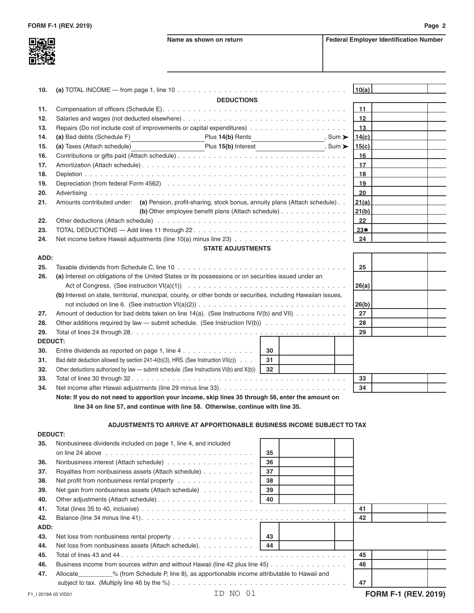

h

| 10. | (a) TOTAL INCOME — from page 1, line 10 $\dots \dots \dots \dots \dots \dots \dots \dots \dots \dots \dots \dots \dots \dots \dots$                                                                                            | 10(a)             |  |
|-----|--------------------------------------------------------------------------------------------------------------------------------------------------------------------------------------------------------------------------------|-------------------|--|
|     | <b>DEDUCTIONS</b>                                                                                                                                                                                                              |                   |  |
| 11. |                                                                                                                                                                                                                                | 11                |  |
| 12. |                                                                                                                                                                                                                                | $12 \overline{ }$ |  |
| 13. |                                                                                                                                                                                                                                | 13                |  |
| 14. | (a) Bad debts (Schedule F)<br>Plus 14(b) Rents<br>, Sum $\blacktriangleright$                                                                                                                                                  | 14(c)             |  |
| 15. | (a) Taxes (Attach schedule)<br>Plus 15(b) Interest No. 2018 Sum ▶                                                                                                                                                              | 15(c)             |  |
| 16. |                                                                                                                                                                                                                                | 16                |  |
| 17. |                                                                                                                                                                                                                                | 17                |  |
| 18. |                                                                                                                                                                                                                                | 18                |  |
| 19. |                                                                                                                                                                                                                                | 19                |  |
| 20. |                                                                                                                                                                                                                                | 20                |  |
| 21. | Amounts contributed under: (a) Pension, profit-sharing, stock bonus, annuity plans (Attach schedule)                                                                                                                           | 21(a)             |  |
|     | (b) Other employee benefit plans (Attach schedule) $\ldots$ ,                                                                                                                                                                  | 21(b)             |  |
| 22. | Other deductions (Attach schedule) with a state of the state of the state of the state of the state of the state of the state of the state of the state of the state of the state of the state of the state of the state of th | 22                |  |
| 23. |                                                                                                                                                                                                                                | $23\bullet$       |  |
| 24. |                                                                                                                                                                                                                                | 24                |  |

## **STATE ADJUSTMENTS**

| ADD:                  |                                                                                                                 |    |  |       |  |
|-----------------------|-----------------------------------------------------------------------------------------------------------------|----|--|-------|--|
| 25.                   |                                                                                                                 | 25 |  |       |  |
| 26.                   | (a) Interest on obligations of the United States or its possessions or on securities issued under an            |    |  | 26(a) |  |
|                       | (b) Interest on state, territorial, municipal, county, or other bonds or securities, including Hawaiian issues, |    |  | 26(b) |  |
| 27.                   | Amount of deduction for bad debts taken on line $14(a)$ . (See Instructions IV(b) and VII) $\dots$              | 27 |  |       |  |
| 28.                   | Other additions required by law — submit schedule. (See Instruction $IV(b)$ )                                   | 28 |  |       |  |
| 29.                   |                                                                                                                 |    |  | 29    |  |
|                       |                                                                                                                 |    |  |       |  |
| 30.                   | Entire dividends as reported on page 1, line $4 \ldots \ldots \ldots \ldots$                                    | 30 |  |       |  |
| 31.                   | Bad debt deduction allowed by section 241-4(b)(3), HRS. (See Instruction VII(c))                                | 31 |  |       |  |
| 32.                   | Other deductions authorized by law — submit schedule. (See Instructions $VI(b)$ and $X(b)$ )                    | 32 |  |       |  |
| 33.                   |                                                                                                                 |    |  | 33    |  |
| <b>DEDUCT:</b><br>34. |                                                                                                                 |    |  | 34    |  |
|                       | Note: If you do not pood to apportion your income, ckin lines 25 through 56, onter the amount on                |    |  |       |  |

 **Note: If you do not need to apportion your income, skip lines 35 through 56, enter the amount on line 34 on line 57, and continue with line 58. Otherwise, continue with line 35.**

## **ADJUSTMENTS TO ARRIVE AT APPORTIONABLE BUSINESS INCOME SUBJECT TO TAX**

| <b>DEDUCT:</b>     |                                                                                                       |    |    |                             |  |
|--------------------|-------------------------------------------------------------------------------------------------------|----|----|-----------------------------|--|
| 35.                | Nonbusiness dividends included on page 1, line 4, and included                                        |    |    |                             |  |
|                    |                                                                                                       | 35 |    |                             |  |
| 36.                |                                                                                                       | 36 |    |                             |  |
| 37.                | Royalties from nonbusiness assets (Attach schedule)                                                   | 37 |    |                             |  |
| 38.                | Net profit from nonbusiness rental property                                                           | 38 |    |                             |  |
| 39.                | Net gain from nonbusiness assets (Attach schedule)                                                    | 39 |    |                             |  |
| 40.                |                                                                                                       | 40 |    |                             |  |
| 41.                |                                                                                                       |    | 41 |                             |  |
| 42.                |                                                                                                       |    | 42 |                             |  |
| ADD:               |                                                                                                       |    |    |                             |  |
| 43.                |                                                                                                       | 43 |    |                             |  |
| 44.                | Net loss from nonbusiness assets (Attach schedule).                                                   | 44 |    |                             |  |
| 45.                |                                                                                                       |    | 45 |                             |  |
| 46.                | Business income from sources within and without Hawaii (line 42 plus line 45)                         |    | 46 |                             |  |
| 47.                | $\degree$ % (from Schedule P, line 8), as apportionable income attributable to Hawaii and<br>Allocate |    |    |                             |  |
|                    |                                                                                                       |    | 47 |                             |  |
| F1 12019A 02 VID01 | (1)<br>ID NO                                                                                          |    |    | <b>FORM F-1 (REV. 2019)</b> |  |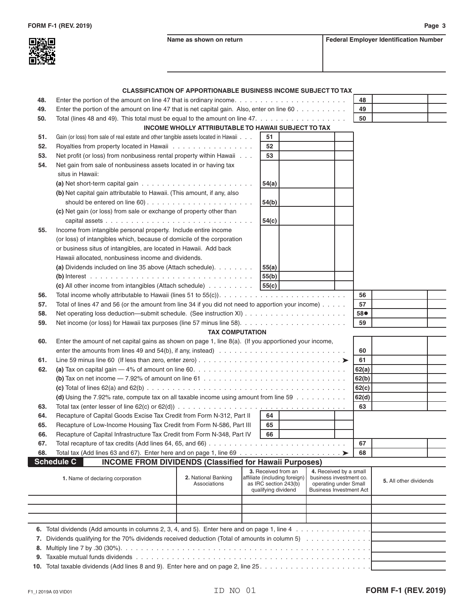|     |                                                                                                                                       | <b>CLASSIFICATION OF APPORTIONABLE BUSINESS INCOME SUBJECT TO TAX</b> |       |                                                                               |                                                                            |       |                        |  |
|-----|---------------------------------------------------------------------------------------------------------------------------------------|-----------------------------------------------------------------------|-------|-------------------------------------------------------------------------------|----------------------------------------------------------------------------|-------|------------------------|--|
| 48. | Enter the portion of the amount on line 47 that is ordinary income. $\ldots \ldots \ldots \ldots \ldots \ldots \ldots \ldots$         |                                                                       |       |                                                                               |                                                                            | 48    |                        |  |
| 49. | Enter the portion of the amount on line 47 that is net capital gain. Also, enter on line 60                                           |                                                                       |       |                                                                               |                                                                            | 49    |                        |  |
| 50. | Total (lines 48 and 49). This total must be equal to the amount on line $47. \ldots \ldots \ldots \ldots \ldots \ldots$               |                                                                       |       |                                                                               |                                                                            | 50    |                        |  |
|     |                                                                                                                                       | INCOME WHOLLY ATTRIBUTABLE TO HAWAII SUBJECT TO TAX                   |       |                                                                               |                                                                            |       |                        |  |
| 51. | Gain (or loss) from sale of real estate and other tangible assets located in Hawaii                                                   |                                                                       | 51    |                                                                               |                                                                            |       |                        |  |
| 52. | Royalties from property located in Hawaii                                                                                             |                                                                       | 52    |                                                                               |                                                                            |       |                        |  |
| 53. | Net profit (or loss) from nonbusiness rental property within Hawaii                                                                   |                                                                       | 53    |                                                                               |                                                                            |       |                        |  |
| 54. | Net gain from sale of nonbusiness assets located in or having tax                                                                     |                                                                       |       |                                                                               |                                                                            |       |                        |  |
|     | situs in Hawaii:                                                                                                                      |                                                                       |       |                                                                               |                                                                            |       |                        |  |
|     | (a) Net short-term capital gain $\ldots \ldots \ldots \ldots \ldots \ldots \ldots \ldots$                                             |                                                                       | 54(a) |                                                                               |                                                                            |       |                        |  |
|     | (b) Net capital gain attributable to Hawaii. (This amount, if any, also                                                               |                                                                       |       |                                                                               |                                                                            |       |                        |  |
|     |                                                                                                                                       |                                                                       | 54(b) |                                                                               |                                                                            |       |                        |  |
|     | (c) Net gain (or loss) from sale or exchange of property other than                                                                   |                                                                       |       |                                                                               |                                                                            |       |                        |  |
|     |                                                                                                                                       |                                                                       | 54(c) |                                                                               |                                                                            |       |                        |  |
| 55. | Income from intangible personal property. Include entire income                                                                       |                                                                       |       |                                                                               |                                                                            |       |                        |  |
|     | (or loss) of intangibles which, because of domicile of the corporation                                                                |                                                                       |       |                                                                               |                                                                            |       |                        |  |
|     | or business situs of intangibles, are located in Hawaii. Add back                                                                     |                                                                       |       |                                                                               |                                                                            |       |                        |  |
|     | Hawaii allocated, nonbusiness income and dividends.                                                                                   |                                                                       |       |                                                                               |                                                                            |       |                        |  |
|     | (a) Dividends included on line 35 above (Attach schedule).                                                                            |                                                                       | 55(a) |                                                                               |                                                                            |       |                        |  |
|     |                                                                                                                                       |                                                                       | 55(b) |                                                                               |                                                                            |       |                        |  |
|     | (c) All other income from intangibles (Attach schedule)                                                                               |                                                                       | 55(c) |                                                                               |                                                                            |       |                        |  |
| 56. |                                                                                                                                       |                                                                       |       |                                                                               |                                                                            | 56    |                        |  |
| 57. | Total of lines 47 and 56 (or the amount from line 34 if you did not need to apportion your income)                                    |                                                                       |       |                                                                               |                                                                            | 57    |                        |  |
| 58. |                                                                                                                                       |                                                                       |       |                                                                               |                                                                            | 58●   |                        |  |
| 59. |                                                                                                                                       |                                                                       |       |                                                                               |                                                                            | 59    |                        |  |
|     |                                                                                                                                       | <b>TAX COMPUTATION</b>                                                |       |                                                                               |                                                                            |       |                        |  |
| 60. | Enter the amount of net capital gains as shown on page 1, line $8(a)$ . (If you apportioned your income,                              |                                                                       |       |                                                                               |                                                                            |       |                        |  |
|     |                                                                                                                                       |                                                                       |       |                                                                               |                                                                            | 60    |                        |  |
| 61. |                                                                                                                                       |                                                                       |       |                                                                               |                                                                            | 61    |                        |  |
| 62. |                                                                                                                                       |                                                                       |       |                                                                               |                                                                            | 62(a) |                        |  |
|     | (b) Tax on net income $-7.92\%$ of amount on line 61 $\dots \dots \dots \dots \dots \dots \dots \dots \dots \dots \dots \dots$        |                                                                       |       |                                                                               |                                                                            | 62(b) |                        |  |
|     |                                                                                                                                       |                                                                       |       |                                                                               |                                                                            | 62(c) |                        |  |
|     | (d) Using the 7.92% rate, compute tax on all taxable income using amount from line 59                                                 |                                                                       |       |                                                                               |                                                                            | 62(d) |                        |  |
| 63. | Total tax (enter lesser of line 62(c) or 62(d)) $\ldots \ldots \ldots \ldots \ldots \ldots \ldots \ldots \ldots \ldots \ldots \ldots$ |                                                                       |       |                                                                               |                                                                            | 63    |                        |  |
| 64. | Recapture of Capital Goods Excise Tax Credit from Form N-312, Part II                                                                 |                                                                       | 64    |                                                                               |                                                                            |       |                        |  |
| 65. | Recapture of Low-Income Housing Tax Credit from Form N-586, Part III                                                                  |                                                                       | 65    |                                                                               |                                                                            |       |                        |  |
| 66. | Recapture of Capital Infrastructure Tax Credit from Form N-348, Part IV                                                               |                                                                       | 66    |                                                                               |                                                                            |       |                        |  |
| 67. | Total recapture of tax credits (Add lines 64, 65, and 66)                                                                             |                                                                       |       |                                                                               |                                                                            | 67    |                        |  |
| 68. |                                                                                                                                       |                                                                       |       |                                                                               |                                                                            | 68    |                        |  |
|     | <b>Schedule C</b><br><b>INCOME FROM DIVIDENDS (Classified for Hawaii Purposes)</b>                                                    |                                                                       |       |                                                                               |                                                                            |       |                        |  |
|     | 1. Name of declaring corporation                                                                                                      | 2. National Banking<br>Associations                                   |       | 3. Received from an<br>affiliate (including foreign)<br>as IRC section 243(b) | 4. Received by a small<br>business investment co.<br>operating under Small |       | 5. All other dividends |  |
|     |                                                                                                                                       |                                                                       |       | qualifying dividend                                                           | <b>Business Investment Act</b>                                             |       |                        |  |
|     |                                                                                                                                       |                                                                       |       |                                                                               |                                                                            |       |                        |  |
|     |                                                                                                                                       |                                                                       |       |                                                                               |                                                                            |       |                        |  |
|     |                                                                                                                                       |                                                                       |       |                                                                               |                                                                            |       |                        |  |
|     |                                                                                                                                       |                                                                       |       |                                                                               |                                                                            |       |                        |  |
|     |                                                                                                                                       |                                                                       |       |                                                                               |                                                                            |       |                        |  |
| 7.  | Dividends qualifying for the 70% dividends received deduction (Total of amounts in column 5)                                          |                                                                       |       |                                                                               |                                                                            |       |                        |  |
| 8.  |                                                                                                                                       |                                                                       |       |                                                                               |                                                                            |       |                        |  |

|  |  |  |  | <b>10.</b> Total taxable dividends (Add lines 8 and 9). Enter here and on page 2, line 25. |  |  |  |  |  |  |
|--|--|--|--|--------------------------------------------------------------------------------------------|--|--|--|--|--|--|
|--|--|--|--|--------------------------------------------------------------------------------------------|--|--|--|--|--|--|